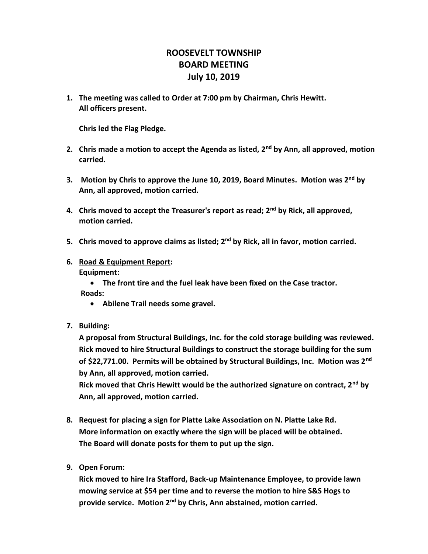## **ROOSEVELT TOWNSHIP BOARD MEETING July 10, 2019**

**1. The meeting was called to Order at 7:00 pm by Chairman, Chris Hewitt. All officers present.**

**Chris led the Flag Pledge.**

- **2. Chris made a motion to accept the Agenda as listed, 2nd by Ann, all approved, motion carried.**
- **3. Motion by Chris to approve the June 10, 2019, Board Minutes. Motion was 2nd by Ann, all approved, motion carried.**
- **4. Chris moved to accept the Treasurer's report as read; 2nd by Rick, all approved, motion carried.**
- **5. Chris moved to approve claims as listed; 2nd by Rick, all in favor, motion carried.**
- **6. Road & Equipment Report: Equipment:**
	- **The front tire and the fuel leak have been fixed on the Case tractor. Roads:** 
		- **Abilene Trail needs some gravel.**
- **7. Building:**

**A proposal from Structural Buildings, Inc. for the cold storage building was reviewed. Rick moved to hire Structural Buildings to construct the storage building for the sum of \$22,771.00. Permits will be obtained by Structural Buildings, Inc. Motion was 2nd by Ann, all approved, motion carried.**

**Rick moved that Chris Hewitt would be the authorized signature on contract, 2nd by Ann, all approved, motion carried.**

- **8. Request for placing a sign for Platte Lake Association on N. Platte Lake Rd. More information on exactly where the sign will be placed will be obtained. The Board will donate posts for them to put up the sign.**
- **9. Open Forum:**

**Rick moved to hire Ira Stafford, Back-up Maintenance Employee, to provide lawn mowing service at \$54 per time and to reverse the motion to hire S&S Hogs to provide service. Motion 2nd by Chris, Ann abstained, motion carried.**